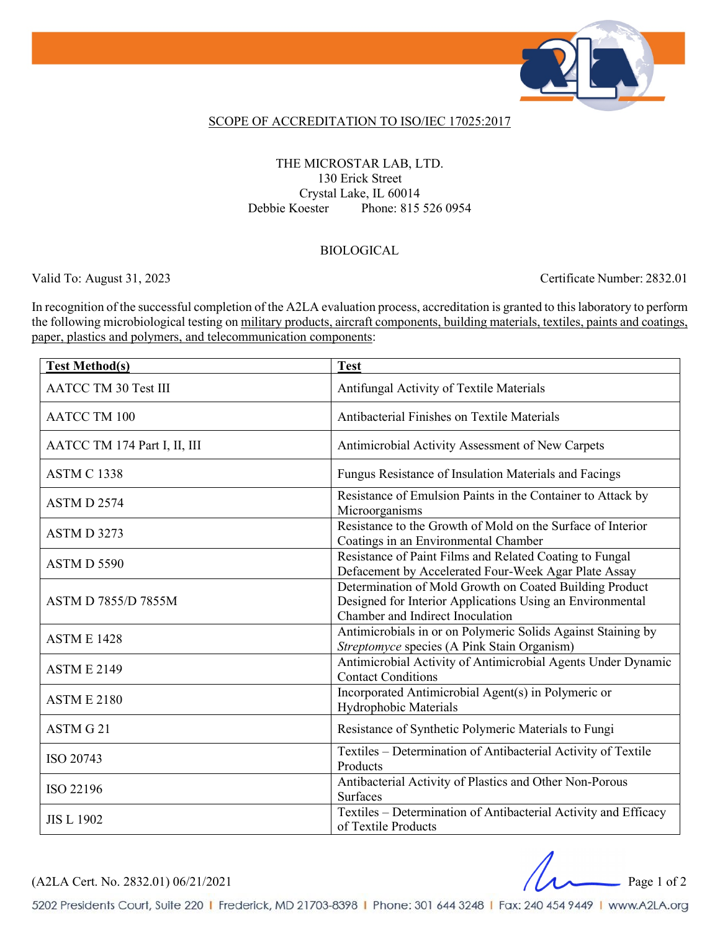

### SCOPE OF ACCREDITATION TO ISO/IEC 17025:2017

### THE MICROSTAR LAB, LTD. 130 Erick Street Crystal Lake, IL 60014 Debbie Koester Phone: 815 526 0954

#### BIOLOGICAL

Valid To: August 31, 2023 Certificate Number: 2832.01

In recognition of the successful completion of the A2LA evaluation process, accreditation is granted to this laboratory to perform the following microbiological testing on military products, aircraft components, building materials, textiles, paints and coatings, paper, plastics and polymers, and telecommunication components:

| <b>Test Method(s)</b>        | <b>Test</b>                                                                                                                                              |
|------------------------------|----------------------------------------------------------------------------------------------------------------------------------------------------------|
| <b>AATCC TM 30 Test III</b>  | Antifungal Activity of Textile Materials                                                                                                                 |
| <b>AATCC TM 100</b>          | Antibacterial Finishes on Textile Materials                                                                                                              |
| AATCC TM 174 Part I, II, III | Antimicrobial Activity Assessment of New Carpets                                                                                                         |
| <b>ASTM C 1338</b>           | Fungus Resistance of Insulation Materials and Facings                                                                                                    |
| ASTM D 2574                  | Resistance of Emulsion Paints in the Container to Attack by<br>Microorganisms                                                                            |
| ASTM D 3273                  | Resistance to the Growth of Mold on the Surface of Interior<br>Coatings in an Environmental Chamber                                                      |
| ASTM D 5590                  | Resistance of Paint Films and Related Coating to Fungal<br>Defacement by Accelerated Four-Week Agar Plate Assay                                          |
| <b>ASTM D 7855/D 7855M</b>   | Determination of Mold Growth on Coated Building Product<br>Designed for Interior Applications Using an Environmental<br>Chamber and Indirect Inoculation |
| <b>ASTM E 1428</b>           | Antimicrobials in or on Polymeric Solids Against Staining by<br>Streptomyce species (A Pink Stain Organism)                                              |
| <b>ASTM E 2149</b>           | Antimicrobial Activity of Antimicrobial Agents Under Dynamic<br><b>Contact Conditions</b>                                                                |
| <b>ASTM E 2180</b>           | Incorporated Antimicrobial Agent(s) in Polymeric or<br>Hydrophobic Materials                                                                             |
| ASTM G 21                    | Resistance of Synthetic Polymeric Materials to Fungi                                                                                                     |
| ISO 20743                    | Textiles - Determination of Antibacterial Activity of Textile<br>Products                                                                                |
| ISO 22196                    | Antibacterial Activity of Plastics and Other Non-Porous<br>Surfaces                                                                                      |
| <b>JIS L 1902</b>            | Textiles - Determination of Antibacterial Activity and Efficacy<br>of Textile Products                                                                   |

(A2LA Cert. No. 2832.01) 06/21/2021 Page 1 of 2

5202 Presidents Court, Suite 220 | Frederick, MD 21703-8398 | Phone: 301 644 3248 | Fax: 240 454 9449 | www.A2LA.org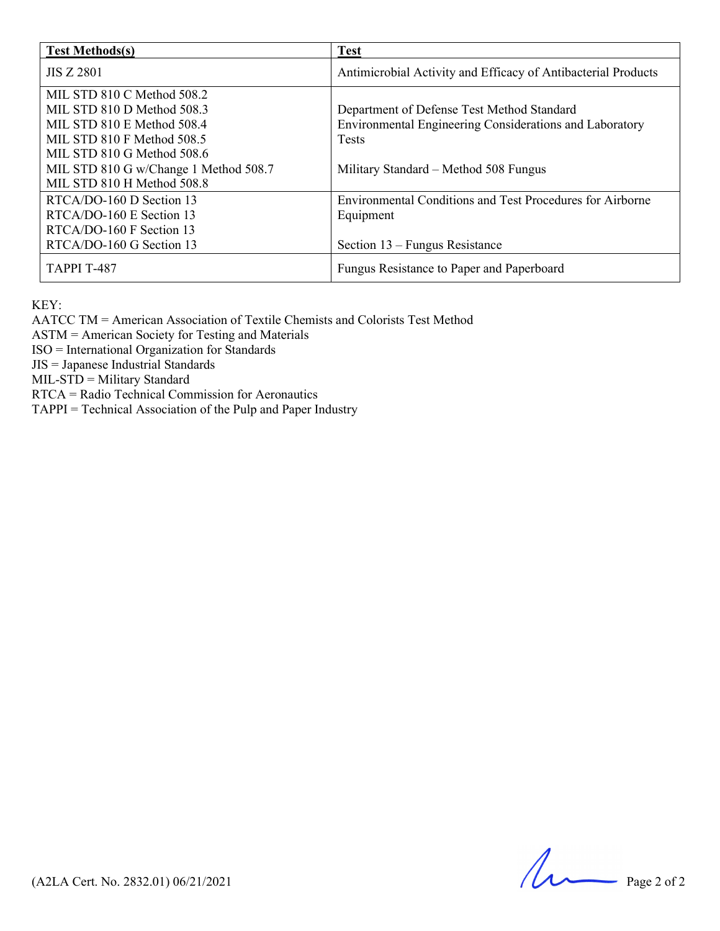| <b>Test Methods(s)</b>                                                                                                                             | <b>Test</b>                                                                                                           |
|----------------------------------------------------------------------------------------------------------------------------------------------------|-----------------------------------------------------------------------------------------------------------------------|
| <b>JIS Z 2801</b>                                                                                                                                  | Antimicrobial Activity and Efficacy of Antibacterial Products                                                         |
| MIL STD 810 C Method 508.2<br>MIL STD 810 D Method 508.3<br>MIL STD 810 E Method 508.4<br>MIL STD 810 F Method 508.5<br>MIL STD 810 G Method 508.6 | Department of Defense Test Method Standard<br>Environmental Engineering Considerations and Laboratory<br><b>Tests</b> |
| MIL STD 810 G w/Change 1 Method 508.7<br>MIL STD 810 H Method 508.8                                                                                | Military Standard – Method 508 Fungus                                                                                 |
| RTCA/DO-160 D Section 13<br>RTCA/DO-160 E Section 13<br>RTCA/DO-160 F Section 13                                                                   | <b>Environmental Conditions and Test Procedures for Airborne</b><br>Equipment                                         |
| RTCA/DO-160 G Section 13                                                                                                                           | Section $13$ – Fungus Resistance                                                                                      |
| <b>TAPPI T-487</b>                                                                                                                                 | Fungus Resistance to Paper and Paperboard                                                                             |

KEY:

AATCC TM = American Association of Textile Chemists and Colorists Test Method

ASTM = American Society for Testing and Materials

ISO = International Organization for Standards

JIS = Japanese Industrial Standards

MIL-STD = Military Standard

RTCA = Radio Technical Commission for Aeronautics

TAPPI = Technical Association of the Pulp and Paper Industry

 $(A2LA$  Cert. No. 2832.01) 06/21/2021